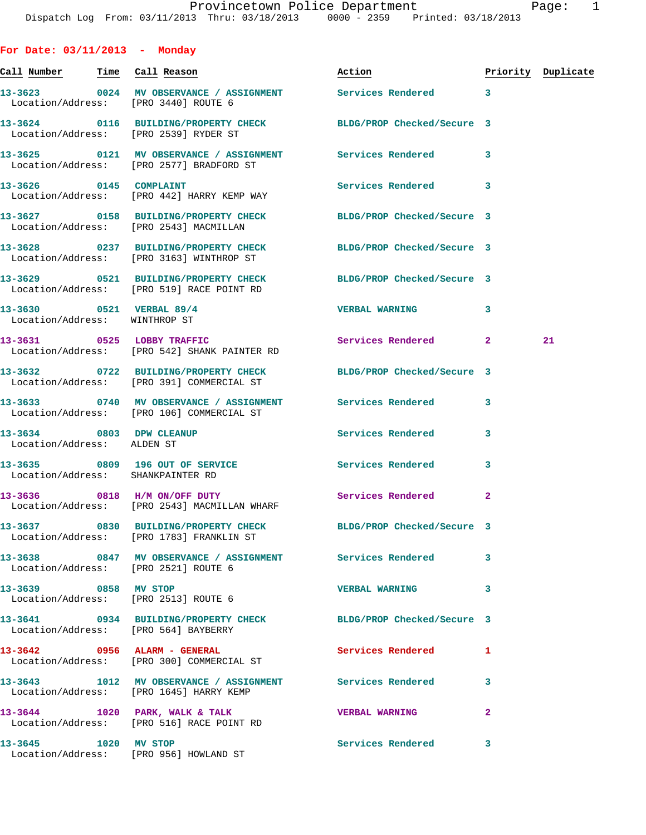| For Date: $03/11/2013$ - Monday                           |                                                                                                              |                          |                |                    |
|-----------------------------------------------------------|--------------------------------------------------------------------------------------------------------------|--------------------------|----------------|--------------------|
|                                                           |                                                                                                              | Action                   |                | Priority Duplicate |
|                                                           | 13-3623 0024 MV OBSERVANCE / ASSIGNMENT Services Rendered 3<br>Location/Address: [PRO 3440] ROUTE 6          |                          |                |                    |
|                                                           | 13-3624 0116 BUILDING/PROPERTY CHECK BLDG/PROP Checked/Secure 3<br>Location/Address: [PRO 2539] RYDER ST     |                          |                |                    |
|                                                           | 13-3625 0121 MV OBSERVANCE / ASSIGNMENT Services Rendered<br>Location/Address: [PRO 2577] BRADFORD ST        |                          | 3              |                    |
|                                                           | 13-3626 0145 COMPLAINT<br>Location/Address: [PRO 442] HARRY KEMP WAY                                         | Services Rendered        | 3              |                    |
|                                                           | 13-3627 0158 BUILDING/PROPERTY CHECK BLDG/PROP Checked/Secure 3<br>Location/Address: [PRO 2543] MACMILLAN    |                          |                |                    |
|                                                           | 13-3628 0237 BUILDING/PROPERTY CHECK BLDG/PROP Checked/Secure 3<br>Location/Address: [PRO 3163] WINTHROP ST  |                          |                |                    |
|                                                           | 13-3629 0521 BUILDING/PROPERTY CHECK BLDG/PROP Checked/Secure 3<br>Location/Address: [PRO 519] RACE POINT RD |                          |                |                    |
| 13-3630 0521 VERBAL 89/4<br>Location/Address: WINTHROP ST |                                                                                                              | <b>VERBAL WARNING</b>    | 3              |                    |
| 13-3631 0525 LOBBY TRAFFIC                                | Location/Address: [PRO 542] SHANK PAINTER RD                                                                 | Services Rendered 2      |                | 21                 |
|                                                           | 13-3632 0722 BUILDING/PROPERTY CHECK BLDG/PROP Checked/Secure 3<br>Location/Address: [PRO 391] COMMERCIAL ST |                          |                |                    |
|                                                           | 13-3633 0740 MV OBSERVANCE / ASSIGNMENT Services Rendered<br>Location/Address: [PRO 106] COMMERCIAL ST       |                          | 3              |                    |
| 13-3634 0803 DPW CLEANUP<br>Location/Address: ALDEN ST    |                                                                                                              | <b>Services Rendered</b> | 3              |                    |
| Location/Address: SHANKPAINTER RD                         | 13-3635 0809 196 OUT OF SERVICE                                                                              | <b>Services Rendered</b> | 3              |                    |
|                                                           | 13-3636 0818 H/M ON/OFF DUTY<br>Location/Address: [PRO 2543] MACMILLAN WHARF                                 | <b>Services Rendered</b> | $\overline{2}$ |                    |
|                                                           | 13-3637 0830 BUILDING/PROPERTY CHECK BLDG/PROP Checked/Secure 3<br>Location/Address: [PRO 1783] FRANKLIN ST  |                          |                |                    |
|                                                           | 13-3638 6847 MV OBSERVANCE / ASSIGNMENT Services Rendered<br>Location/Address: [PRO 2521] ROUTE 6            |                          | 3              |                    |
| 13-3639 0858 MV STOP                                      | Location/Address: [PRO 2513] ROUTE 6                                                                         | <b>VERBAL WARNING</b>    | 3              |                    |
|                                                           | 13-3641 0934 BUILDING/PROPERTY CHECK BLDG/PROP Checked/Secure 3<br>Location/Address: [PRO 564] BAYBERRY      |                          |                |                    |
|                                                           | 13-3642 0956 ALARM - GENERAL<br>Location/Address: [PRO 300] COMMERCIAL ST                                    | Services Rendered        | 1              |                    |
|                                                           | 13-3643 1012 MV OBSERVANCE / ASSIGNMENT Services Rendered<br>Location/Address: [PRO 1645] HARRY KEMP         |                          | 3              |                    |
|                                                           | 13-3644 1020 PARK, WALK & TALK<br>Location/Address: [PRO 516] RACE POINT RD                                  | <b>VERBAL WARNING</b>    | $\overline{a}$ |                    |
| 13-3645 1020 MV STOP                                      | Location/Address: [PRO 956] HOWLAND ST                                                                       | Services Rendered        | 3              |                    |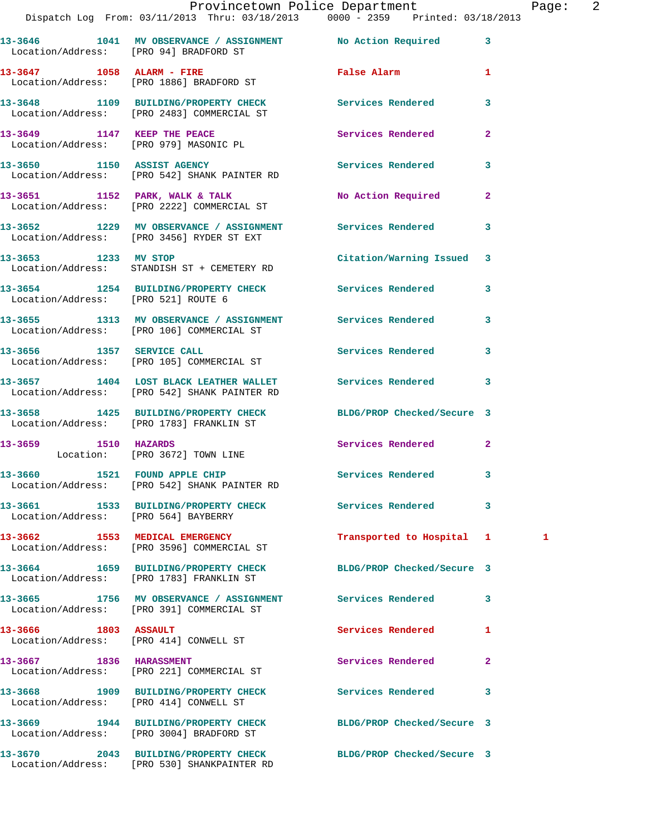|                                        | Provincetown Police Department<br>Dispatch Log From: 03/11/2013 Thru: 03/18/2013 0000 - 2359 Printed: 03/18/2013 |                            | Page: 2      |
|----------------------------------------|------------------------------------------------------------------------------------------------------------------|----------------------------|--------------|
|                                        | 13-3646 1041 MV OBSERVANCE / ASSIGNMENT No Action Required 3<br>Location/Address: [PRO 94] BRADFORD ST           |                            |              |
|                                        | 13-3647 1058 ALARM - FIRE<br>Location/Address: [PRO 1886] BRADFORD ST                                            | False Alarm 1              |              |
|                                        | 13-3648 1109 BUILDING/PROPERTY CHECK Services Rendered<br>Location/Address: [PRO 2483] COMMERCIAL ST             |                            | $\mathbf{3}$ |
|                                        | 13-3649 1147 KEEP THE PEACE Services Rendered<br>Location/Address: [PRO 979] MASONIC PL                          |                            | $\mathbf{2}$ |
|                                        | 13-3650 1150 ASSIST AGENCY<br>Location/Address: [PRO 542] SHANK PAINTER RD                                       | Services Rendered 3        |              |
|                                        | 13-3651 1152 PARK, WALK & TALK 1999 No Action Required<br>Location/Address: [PRO 2222] COMMERCIAL ST             |                            | $\mathbf{2}$ |
|                                        | 13-3652 1229 MV OBSERVANCE / ASSIGNMENT Services Rendered 3<br>Location/Address: [PRO 3456] RYDER ST EXT         |                            |              |
|                                        | 13-3653 1233 MV STOP<br>Location/Address: STANDISH ST + CEMETERY RD                                              | Citation/Warning Issued 3  |              |
| Location/Address: [PRO 521] ROUTE 6    | 13-3654 1254 BUILDING/PROPERTY CHECK Services Rendered 3                                                         |                            |              |
|                                        | 13-3655 1313 MV OBSERVANCE / ASSIGNMENT Services Rendered<br>Location/Address: [PRO 106] COMMERCIAL ST           |                            | 3            |
|                                        | 13-3656 1357 SERVICE CALL<br>Location/Address: [PRO 105] COMMERCIAL ST                                           | Services Rendered 3        |              |
|                                        | 13-3657 1404 LOST BLACK LEATHER WALLET Services Rendered<br>Location/Address: [PRO 542] SHANK PAINTER RD         |                            | 3            |
|                                        | 13-3658 1425 BUILDING/PROPERTY CHECK BLDG/PROP Checked/Secure 3<br>Location/Address: [PRO 1783] FRANKLIN ST      |                            |              |
|                                        | 13-3659 1510 HAZARDS<br>Location: [PRO 3672] TOWN LINE                                                           | Services Rendered 2        |              |
|                                        | 13-3660 1521 FOUND APPLE CHIP<br>Location/Address: [PRO 542] SHANK PAINTER RD                                    | <b>Services Rendered</b>   |              |
| Location/Address: [PRO 564] BAYBERRY   | 13-3661 1533 BUILDING/PROPERTY CHECK Services Rendered                                                           |                            | 3            |
|                                        | 13-3662 1553 MEDICAL EMERGENCY<br>Location/Address: [PRO 3596] COMMERCIAL ST                                     | Transported to Hospital 1  | 1            |
|                                        | 13-3664 1659 BUILDING/PROPERTY CHECK<br>Location/Address: [PRO 1783] FRANKLIN ST                                 | BLDG/PROP Checked/Secure 3 |              |
|                                        | 13-3665 1756 MV OBSERVANCE / ASSIGNMENT Services Rendered 3<br>Location/Address: [PRO 391] COMMERCIAL ST         |                            |              |
| 13-3666 1803 ASSAULT                   | Location/Address: [PRO 414] CONWELL ST                                                                           | <b>Services Rendered</b>   | 1            |
| 13-3667 1836 HARASSMENT                | Location/Address: [PRO 221] COMMERCIAL ST                                                                        | Services Rendered          | $\mathbf{2}$ |
| Location/Address: [PRO 414] CONWELL ST | 13-3668 1909 BUILDING/PROPERTY CHECK Services Rendered                                                           |                            | 3            |
|                                        | 13-3669 1944 BUILDING/PROPERTY CHECK BLDG/PROP Checked/Secure 3<br>Location/Address: [PRO 3004] BRADFORD ST      |                            |              |
|                                        |                                                                                                                  |                            |              |

**13-3670 2043 BUILDING/PROPERTY CHECK BLDG/PROP Checked/Secure 3** 

Location/Address: [PRO 530] SHANKPAINTER RD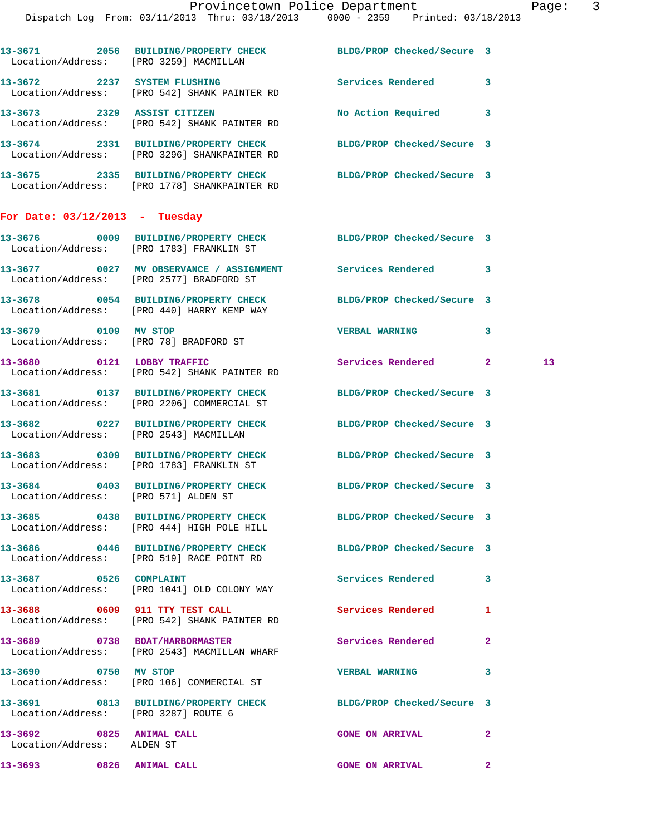|                                                        | 13-3671 2056 BUILDING/PROPERTY CHECK<br>Location/Address: [PRO 3259] MACMILLAN                                  | BLDG/PROP Checked/Secure 3 |              |
|--------------------------------------------------------|-----------------------------------------------------------------------------------------------------------------|----------------------------|--------------|
|                                                        | 13-3672 2237 SYSTEM FLUSHING<br>Location/Address: [PRO 542] SHANK PAINTER RD                                    | <b>Services Rendered</b>   | 3            |
|                                                        | 13-3673 2329 ASSIST CITIZEN<br>Location/Address: [PRO 542] SHANK PAINTER RD                                     | No Action Required         | 3            |
|                                                        | 13-3674 2331 BUILDING/PROPERTY CHECK<br>Location/Address: [PRO 3296] SHANKPAINTER RD                            | BLDG/PROP Checked/Secure 3 |              |
|                                                        | 13-3675 2335 BUILDING/PROPERTY CHECK BLDG/PROP Checked/Secure 3<br>Location/Address: [PRO 1778] SHANKPAINTER RD |                            |              |
| For Date: $03/12/2013$ - Tuesday                       |                                                                                                                 |                            |              |
|                                                        | 13-3676 0009 BUILDING/PROPERTY CHECK BLDG/PROP Checked/Secure 3<br>Location/Address: [PRO 1783] FRANKLIN ST     |                            |              |
|                                                        | 13-3677 0027 MV OBSERVANCE / ASSIGNMENT Services Rendered 3<br>Location/Address: [PRO 2577] BRADFORD ST         |                            |              |
|                                                        | 13-3678 0054 BUILDING/PROPERTY CHECK<br>Location/Address: [PRO 440] HARRY KEMP WAY                              | BLDG/PROP Checked/Secure 3 |              |
| 13-3679 0109 MV STOP                                   | Location/Address: [PRO 78] BRADFORD ST                                                                          | <b>VERBAL WARNING</b>      | 3            |
|                                                        | 13-3680 0121 LOBBY TRAFFIC<br>Location/Address: [PRO 542] SHANK PAINTER RD                                      | Services Rendered 2        | 13           |
|                                                        | 13-3681 0137 BUILDING/PROPERTY CHECK<br>Location/Address: [PRO 2206] COMMERCIAL ST                              | BLDG/PROP Checked/Secure 3 |              |
|                                                        | 13-3682 0227 BUILDING/PROPERTY CHECK<br>Location/Address: [PRO 2543] MACMILLAN                                  | BLDG/PROP Checked/Secure 3 |              |
|                                                        | 13-3683 0309 BUILDING/PROPERTY CHECK<br>Location/Address: [PRO 1783] FRANKLIN ST                                | BLDG/PROP Checked/Secure 3 |              |
|                                                        | 13-3684 0403 BUILDING/PROPERTY CHECK<br>Location/Address: [PRO 571] ALDEN ST                                    | BLDG/PROP Checked/Secure 3 |              |
|                                                        | 13-3685 0438 BUILDING/PROPERTY CHECK<br>Location/Address: [PRO 444] HIGH POLE HILL                              | BLDG/PROP Checked/Secure 3 |              |
|                                                        | 13-3686 0446 BUILDING/PROPERTY CHECK BLDG/PROP Checked/Secure 3<br>Location/Address: [PRO 519] RACE POINT RD    |                            |              |
| 13-3687 0526 COMPLAINT                                 | Location/Address: [PRO 1041] OLD COLONY WAY                                                                     | Services Rendered          | 3            |
|                                                        | 13-3688 0609 911 TTY TEST CALL<br>Location/Address: [PRO 542] SHANK PAINTER RD                                  | <b>Services Rendered</b>   | 1            |
|                                                        | 13-3689 0738 BOAT/HARBORMASTER<br>Location/Address: [PRO 2543] MACMILLAN WHARF                                  | Services Rendered          | 2            |
| 13-3690 0750 MV STOP                                   | Location/Address: [PRO 106] COMMERCIAL ST                                                                       | <b>VERBAL WARNING</b>      | 3            |
|                                                        | 13-3691 0813 BUILDING/PROPERTY CHECK<br>Location/Address: [PRO 3287] ROUTE 6                                    | BLDG/PROP Checked/Secure 3 |              |
| 13-3692 0825 ANIMAL CALL<br>Location/Address: ALDEN ST |                                                                                                                 | <b>GONE ON ARRIVAL</b>     | $\mathbf{2}$ |
| 13-3693 0826 ANIMAL CALL                               |                                                                                                                 | <b>GONE ON ARRIVAL</b>     | $\mathbf{2}$ |
|                                                        |                                                                                                                 |                            |              |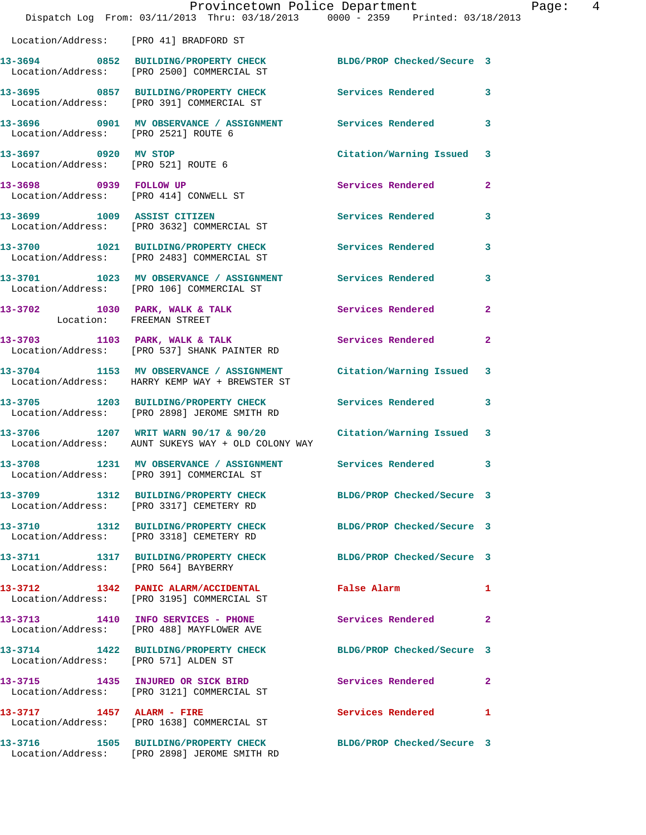|                                      | Provincetown Police Department<br>Dispatch Log From: 03/11/2013 Thru: 03/18/2013 0000 - 2359 Printed: 03/18/2013       |                           | Page: 4      |
|--------------------------------------|------------------------------------------------------------------------------------------------------------------------|---------------------------|--------------|
|                                      | Location/Address: [PRO 41] BRADFORD ST                                                                                 |                           |              |
|                                      | 13-3694 0852 BUILDING/PROPERTY CHECK BLDG/PROP Checked/Secure 3<br>Location/Address: [PRO 2500] COMMERCIAL ST          |                           |              |
|                                      | 13-3695 0857 BUILDING/PROPERTY CHECK Services Rendered 3<br>Location/Address: [PRO 391] COMMERCIAL ST                  |                           |              |
| Location/Address: [PRO 2521] ROUTE 6 | 13-3696 0901 MV OBSERVANCE / ASSIGNMENT Services Rendered 3                                                            |                           |              |
| Location/Address: [PRO 521] ROUTE 6  | 13-3697 0920 MV STOP                                                                                                   | Citation/Warning Issued 3 |              |
|                                      | 13-3698 0939 FOLLOW UP<br>Location/Address: [PRO 414] CONWELL ST                                                       | Services Rendered 2       |              |
|                                      | 13-3699 1009 ASSIST CITIZEN<br>Location/Address: [PRO 3632] COMMERCIAL ST                                              | Services Rendered 3       |              |
|                                      | 13-3700 1021 BUILDING/PROPERTY CHECK Services Rendered 3<br>Location/Address: [PRO 2483] COMMERCIAL ST                 |                           |              |
|                                      | 13-3701 1023 MV OBSERVANCE / ASSIGNMENT Services Rendered 3<br>Location/Address: [PRO 106] COMMERCIAL ST               |                           |              |
| Location: FREEMAN STREET             | 13-3702 1030 PARK, WALK & TALK 1988 Services Rendered 2                                                                |                           |              |
|                                      | 13-3703 1103 PARK, WALK & TALK 1988 Services Rendered<br>Location/Address: [PRO 537] SHANK PAINTER RD                  |                           | $\mathbf{2}$ |
|                                      | 13-3704 1153 MV OBSERVANCE / ASSIGNMENT Citation/Warning Issued 3<br>Location/Address: HARRY KEMP WAY + BREWSTER ST    |                           |              |
|                                      | 13-3705 1203 BUILDING/PROPERTY CHECK Services Rendered 3<br>Location/Address: [PRO 2898] JEROME SMITH RD               |                           |              |
|                                      | $13-3706$ 1207 WRIT WARN 90/17 & 90/20 Citation/Warning Issued 3<br>Location/Address: AUNT SUKEYS WAY + OLD COLONY WAY |                           |              |
|                                      | 13-3708 1231 MV OBSERVANCE / ASSIGNMENT Services Rendered<br>Location/Address: [PRO 391] COMMERCIAL ST                 |                           | $\mathbf{3}$ |
|                                      | 13-3709 1312 BUILDING/PROPERTY CHECK BLDG/PROP Checked/Secure 3<br>Location/Address: [PRO 3317] CEMETERY RD            |                           |              |
|                                      | 13-3710 1312 BUILDING/PROPERTY CHECK BLDG/PROP Checked/Secure 3<br>Location/Address: [PRO 3318] CEMETERY RD            |                           |              |
|                                      | 13-3711 1317 BUILDING/PROPERTY CHECK BLDG/PROP Checked/Secure 3<br>Location/Address: [PRO 564] BAYBERRY                |                           |              |
|                                      | 13-3712 1342 PANIC ALARM/ACCIDENTAL False Alarm<br>Location/Address: [PRO 3195] COMMERCIAL ST                          |                           | $\mathbf{1}$ |
|                                      | 13-3713 1410 INFO SERVICES - PHONE Services Rendered 2<br>Location/Address: [PRO 488] MAYFLOWER AVE                    |                           |              |
| Location/Address: [PRO 571] ALDEN ST | 13-3714 1422 BUILDING/PROPERTY CHECK BLDG/PROP Checked/Secure 3                                                        |                           |              |
|                                      | 13-3715 1435 INJURED OR SICK BIRD Services Rendered 2<br>Location/Address: [PRO 3121] COMMERCIAL ST                    |                           |              |
|                                      | 13-3717 1457 ALARM - FIRE<br>Location/Address: [PRO 1638] COMMERCIAL ST                                                | Services Rendered 1       |              |
|                                      | 13-3716 1505 BUILDING/PROPERTY CHECK BLDG/PROP Checked/Secure 3<br>Location/Address: [PRO 2898] JEROME SMITH RD        |                           |              |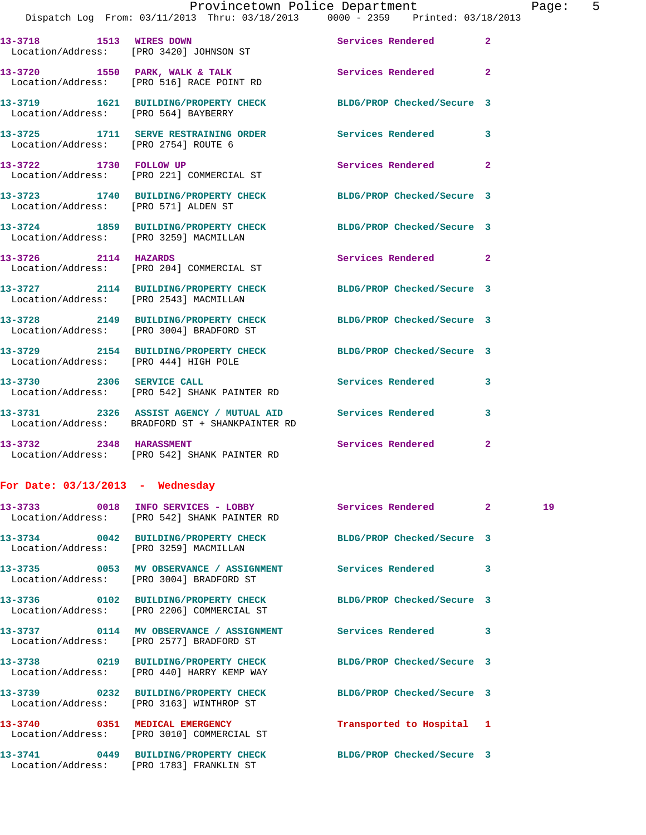| Dispatch Log From: $03/11/2013$ Thru: $03/18/2013$ |      |                   |  | $0000 - 2359$ Printed: 03/18/2013 |  |
|----------------------------------------------------|------|-------------------|--|-----------------------------------|--|
| 13-3718<br>Location/Address: [PRO 3420] JOHNSON ST | 1513 | <b>WIRES DOWN</b> |  | Services Rendered                 |  |

 Location/Address: [PRO 516] RACE POINT RD **13-3719 1621 BUILDING/PROPERTY CHECK BLDG/PROP Checked/Secure 3**  Location/Address: [PRO 564] BAYBERRY

**13-3725 1711 SERVE RESTRAINING ORDER Services Rendered 3**  Location/Address: [PRO 2754] ROUTE 6 **13-3722 1730 FOLLOW UP Services Rendered 2** 

13-3720 **1550 PARK, WALK & TALK Services Rendered** 2

 Location/Address: [PRO 221] COMMERCIAL ST **13-3723 1740 BUILDING/PROPERTY CHECK BLDG/PROP Checked/Secure 3**  Location/Address: [PRO 571] ALDEN ST

**13-3724 1859 BUILDING/PROPERTY CHECK BLDG/PROP Checked/Secure 3**  Location/Address: [PRO 3259] MACMILLAN

**13-3726 2114 HAZARDS Services Rendered 2**  Location/Address: [PRO 204] COMMERCIAL ST **13-3727 2114 BUILDING/PROPERTY CHECK BLDG/PROP Checked/Secure 3**  Location/Address: [PRO 2543] MACMILLAN

**13-3728 2149 BUILDING/PROPERTY CHECK BLDG/PROP Checked/Secure 3**  Location/Address: [PRO 3004] BRADFORD ST **13-3729 2154 BUILDING/PROPERTY CHECK BLDG/PROP Checked/Secure 3**  Location/Address: [PRO 444] HIGH POLE **13-3730 2306 SERVICE CALL Services Rendered 3**  Location/Address: [PRO 542] SHANK PAINTER RD

**13-3731 2326 ASSIST AGENCY / MUTUAL AID Services Rendered 3**  Location/Address: BRADFORD ST + SHANKPAINTER RD **13-3732** 2348 HARASSMENT Services Rendered 2 Location/Address: [PRO 542] SHANK PAINTER RD

**For Date: 03/13/2013 - Wednesday**

Location/Address: [PRO 1783] FRANKLIN ST

|                                        | Location/Address: [PRO 542] SHANK PAINTER RD                                                                  |                           |                         | 19 <sup>°</sup> |
|----------------------------------------|---------------------------------------------------------------------------------------------------------------|---------------------------|-------------------------|-----------------|
| Location/Address: [PRO 3259] MACMILLAN | 13-3734 0042 BUILDING/PROPERTY CHECK BLDG/PROP Checked/Secure 3                                               |                           |                         |                 |
|                                        | Location/Address: [PRO 3004] BRADFORD ST                                                                      |                           | $\overline{\mathbf{3}}$ |                 |
|                                        | 13-3736 0102 BUILDING/PROPERTY CHECK BLDG/PROP Checked/Secure 3<br>Location/Address: [PRO 2206] COMMERCIAL ST |                           |                         |                 |
|                                        | Location/Address: [PRO 2577] BRADFORD ST                                                                      |                           | $\overline{\mathbf{3}}$ |                 |
|                                        | 13-3738 0219 BUILDING/PROPERTY CHECK BLDG/PROP Checked/Secure 3<br>Location/Address: [PRO 440] HARRY KEMP WAY |                           |                         |                 |
|                                        | 13-3739 0232 BUILDING/PROPERTY CHECK BLDG/PROP Checked/Secure 3<br>Location/Address: [PRO 3163] WINTHROP ST   |                           |                         |                 |
|                                        | Location/Address: [PRO 3010] COMMERCIAL ST                                                                    | Transported to Hospital 1 |                         |                 |
|                                        | 13-3741 0449 BUILDING/PROPERTY CHECK BLDG/PROP Checked/Secure 3                                               |                           |                         |                 |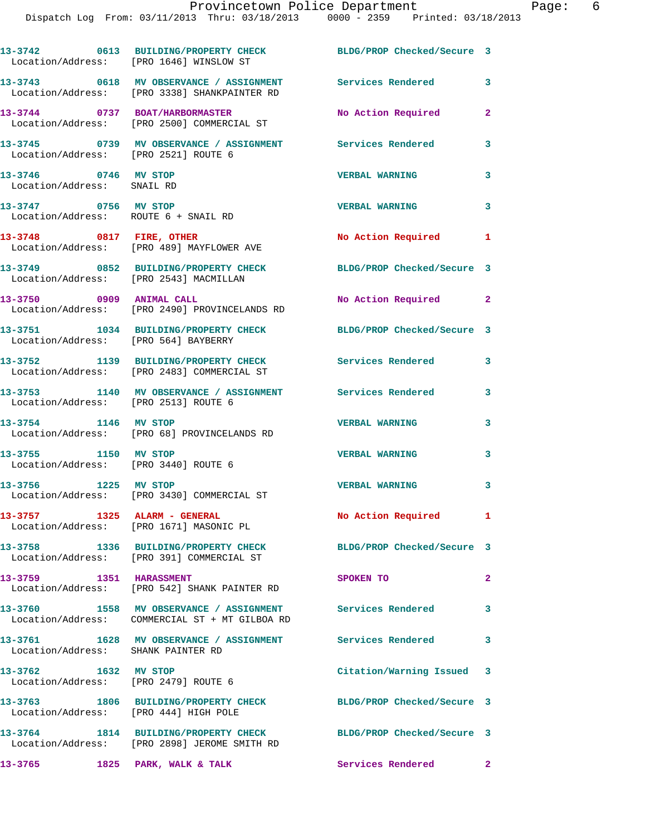|                                                                         | 13-3742 0613 BUILDING/PROPERTY CHECK BLDG/PROP Checked/Secure 3<br>Location/Address: [PRO 1646] WINSLOW ST  |                            |              |
|-------------------------------------------------------------------------|-------------------------------------------------------------------------------------------------------------|----------------------------|--------------|
|                                                                         | 13-3743 0618 MV OBSERVANCE / ASSIGNMENT Services Rendered<br>Location/Address: [PRO 3338] SHANKPAINTER RD   |                            | 3            |
|                                                                         | 13-3744 0737 BOAT/HARBORMASTER<br>Location/Address: [PRO 2500] COMMERCIAL ST                                | No Action Required         | $\mathbf{2}$ |
|                                                                         | 13-3745  0739 MV OBSERVANCE / ASSIGNMENT  Services Rendered<br>Location/Address: [PRO 2521] ROUTE 6         |                            | 3            |
| 13-3746 0746 MV STOP<br>Location/Address: SNAIL RD                      |                                                                                                             | <b>VERBAL WARNING</b>      | 3            |
| 13-3747 0756 MV STOP<br>Location/Address: ROUTE 6 + SNAIL RD            |                                                                                                             | <b>VERBAL WARNING</b>      | $\mathbf{3}$ |
|                                                                         | 13-3748 0817 FIRE, OTHER<br>Location/Address: [PRO 489] MAYFLOWER AVE                                       | No Action Required 1       |              |
|                                                                         | 13-3749 0852 BUILDING/PROPERTY CHECK<br>Location/Address: [PRO 2543] MACMILLAN                              | BLDG/PROP Checked/Secure 3 |              |
|                                                                         | 13-3750 0909 ANIMAL CALL<br>Location/Address: [PRO 2490] PROVINCELANDS RD                                   | No Action Required 2       |              |
| Location/Address: [PRO 564] BAYBERRY                                    | 13-3751 1034 BUILDING/PROPERTY CHECK BLDG/PROP Checked/Secure 3                                             |                            |              |
|                                                                         | 13-3752 1139 BUILDING/PROPERTY CHECK Services Rendered<br>Location/Address: [PRO 2483] COMMERCIAL ST        |                            | 3            |
| Location/Address: [PRO 2513] ROUTE 6                                    | 13-3753 1140 MV OBSERVANCE / ASSIGNMENT Services Rendered 3                                                 |                            |              |
|                                                                         | 13-3754 1146 MV STOP<br>Location/Address: [PRO 68] PROVINCELANDS RD                                         | <b>VERBAL WARNING</b>      | 3            |
| 13-3755 1150 MV STOP<br>Location/Address: [PRO 3440] ROUTE 6            |                                                                                                             | <b>VERBAL WARNING</b>      | $\mathbf{3}$ |
| 13-3756 1225 MV STOP                                                    | Location/Address: [PRO 3430] COMMERCIAL ST                                                                  | <b>VERBAL WARNING</b>      | $\mathbf{3}$ |
| 13-3757 1325 ALARM - GENERAL<br>Location/Address: [PRO 1671] MASONIC PL |                                                                                                             | No Action Required         | $\mathbf{1}$ |
|                                                                         | 13-3758 1336 BUILDING/PROPERTY CHECK<br>Location/Address: [PRO 391] COMMERCIAL ST                           | BLDG/PROP Checked/Secure 3 |              |
| 13-3759 1351 HARASSMENT                                                 | Location/Address: [PRO 542] SHANK PAINTER RD                                                                | SPOKEN TO                  | $\mathbf{2}$ |
|                                                                         | 13-3760 1558 MV OBSERVANCE / ASSIGNMENT Services Rendered<br>Location/Address: COMMERCIAL ST + MT GILBOA RD |                            | 3            |
| Location/Address: SHANK PAINTER RD                                      | 13-3761 1628 MV OBSERVANCE / ASSIGNMENT Services Rendered 3                                                 |                            |              |
| 13-3762 1632 MV STOP<br>Location/Address: [PRO 2479] ROUTE 6            |                                                                                                             | Citation/Warning Issued 3  |              |
| Location/Address: [PRO 444] HIGH POLE                                   | 13-3763 1806 BUILDING/PROPERTY CHECK                                                                        | BLDG/PROP Checked/Secure 3 |              |
|                                                                         | 13-3764 1814 BUILDING/PROPERTY CHECK<br>Location/Address: [PRO 2898] JEROME SMITH RD                        | BLDG/PROP Checked/Secure 3 |              |
| 13-3765 1825 PARK, WALK & TALK                                          |                                                                                                             | Services Rendered 2        |              |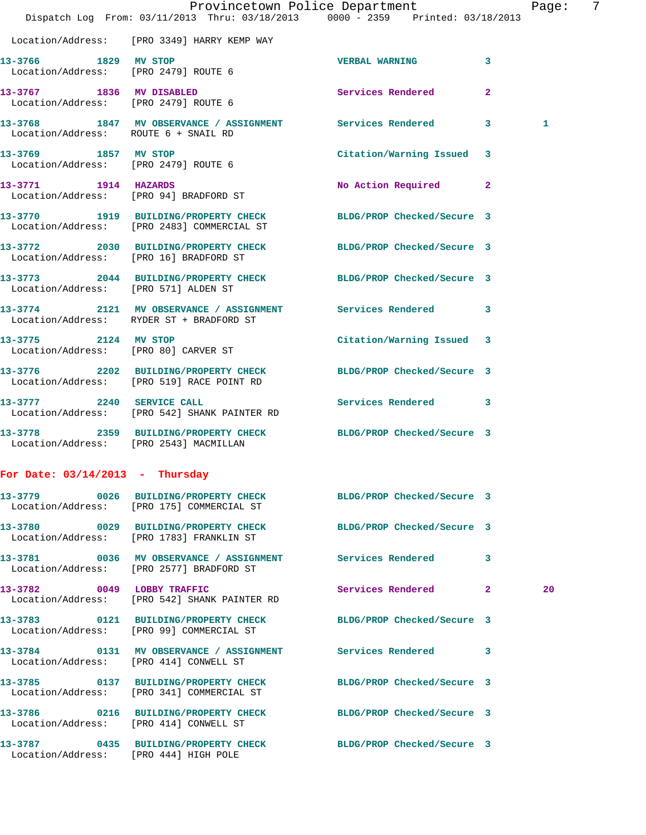|                                                              | Dispatch Log From: 03/11/2013 Thru: 03/18/2013 0000 - 2359 Printed: 03/18/2013                                | Provincetown Police Department |              | Page: | 7 |
|--------------------------------------------------------------|---------------------------------------------------------------------------------------------------------------|--------------------------------|--------------|-------|---|
|                                                              | Location/Address: [PRO 3349] HARRY KEMP WAY                                                                   |                                |              |       |   |
| 13-3766 1829 MV STOP                                         | Location/Address: [PRO 2479] ROUTE 6                                                                          | <b>VERBAL WARNING</b>          | 3            |       |   |
| Location/Address: [PRO 2479] ROUTE 6                         | 13-3767 1836 MV DISABLED                                                                                      | Services Rendered              | $\mathbf{2}$ |       |   |
| Location/Address: ROUTE 6 + SNAIL RD                         | 13-3768 1847 MV OBSERVANCE / ASSIGNMENT Services Rendered 3                                                   |                                |              | 1     |   |
| 13-3769 1857 MV STOP<br>Location/Address: [PRO 2479] ROUTE 6 |                                                                                                               | Citation/Warning Issued 3      |              |       |   |
| 13-3771 1914 HAZARDS                                         | Location/Address: [PRO 94] BRADFORD ST                                                                        | No Action Required 2           |              |       |   |
|                                                              | 13-3770 1919 BUILDING/PROPERTY CHECK BLDG/PROP Checked/Secure 3<br>Location/Address: [PRO 2483] COMMERCIAL ST |                                |              |       |   |
| Location/Address: [PRO 16] BRADFORD ST                       | 13-3772 2030 BUILDING/PROPERTY CHECK BLDG/PROP Checked/Secure 3                                               |                                |              |       |   |
| Location/Address: [PRO 571] ALDEN ST                         | 13-3773 2044 BUILDING/PROPERTY CHECK BLDG/PROP Checked/Secure 3                                               |                                |              |       |   |
|                                                              | 13-3774 2121 MV OBSERVANCE / ASSIGNMENT Services Rendered 3<br>Location/Address: RYDER ST + BRADFORD ST       |                                |              |       |   |
| 13-3775 2124 MV STOP<br>Location/Address: [PRO 80] CARVER ST |                                                                                                               | Citation/Warning Issued 3      |              |       |   |
|                                                              | 13-3776 2202 BUILDING/PROPERTY CHECK BLDG/PROP Checked/Secure 3<br>Location/Address: [PRO 519] RACE POINT RD  |                                |              |       |   |
| 13-3777 2240 SERVICE CALL                                    | Location/Address: [PRO 542] SHANK PAINTER RD                                                                  | Services Rendered 3            |              |       |   |
| Location/Address: [PRO 2543] MACMILLAN                       | 13-3778 2359 BUILDING/PROPERTY CHECK BLDG/PROP Checked/Secure 3                                               |                                |              |       |   |
| For Date: $03/14/2013$ - Thursday                            |                                                                                                               |                                |              |       |   |
|                                                              | 13-3779 0026 BUILDING/PROPERTY CHECK BLDG/PROP Checked/Secure 3<br>Location/Address: [PRO 175] COMMERCIAL ST  |                                |              |       |   |
|                                                              | 13-3780 0029 BUILDING/PROPERTY CHECK<br>Location/Address: [PRO 1783] FRANKLIN ST                              | BLDG/PROP Checked/Secure 3     |              |       |   |
|                                                              | 13-3781 0036 MV OBSERVANCE / ASSIGNMENT Services Rendered<br>Location/Address: [PRO 2577] BRADFORD ST         |                                | 3            |       |   |
|                                                              | 13-3782 0049 LOBBY TRAFFIC<br>Location/Address: [PRO 542] SHANK PAINTER RD                                    | Services Rendered 2            |              | 20    |   |
|                                                              | 13-3783 0121 BUILDING/PROPERTY CHECK BLDG/PROP Checked/Secure 3<br>Location/Address: [PRO 99] COMMERCIAL ST   |                                |              |       |   |
| Location/Address: [PRO 414] CONWELL ST                       | 13-3784 0131 MV OBSERVANCE / ASSIGNMENT Services Rendered 3                                                   |                                |              |       |   |
|                                                              | 13-3785 0137 BUILDING/PROPERTY CHECK<br>Location/Address: [PRO 341] COMMERCIAL ST                             | BLDG/PROP Checked/Secure 3     |              |       |   |
| Location/Address: [PRO 414] CONWELL ST                       | 13-3786 0216 BUILDING/PROPERTY CHECK BLDG/PROP Checked/Secure 3                                               |                                |              |       |   |
| Location/Address: [PRO 444] HIGH POLE                        | 13-3787 0435 BUILDING/PROPERTY CHECK BLDG/PROP Checked/Secure 3                                               |                                |              |       |   |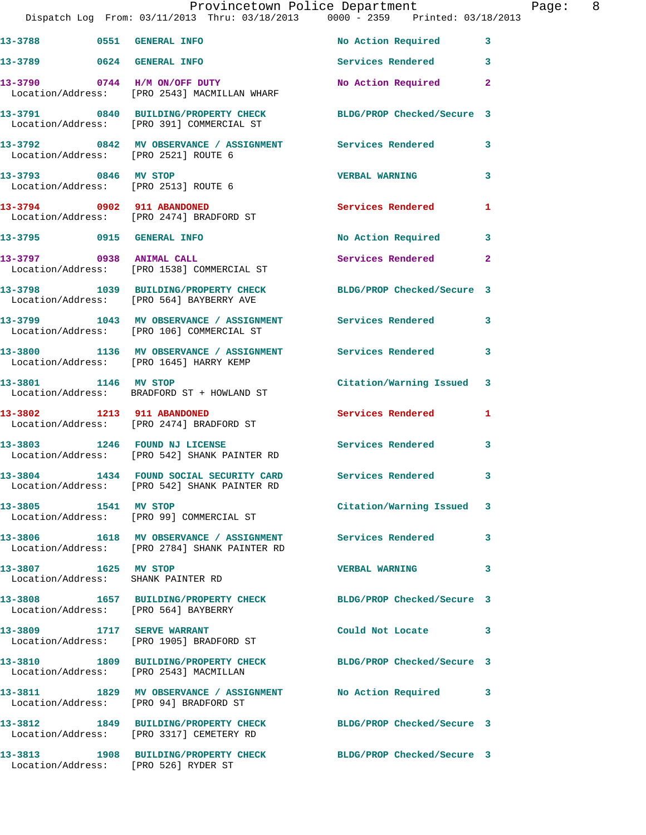|                                                            | Dispatch Log From: 03/11/2013 Thru: 03/18/2013 0000 - 2359 Printed: 03/18/2013                               | Provincetown Police Department |              | Page: 8 |  |
|------------------------------------------------------------|--------------------------------------------------------------------------------------------------------------|--------------------------------|--------------|---------|--|
|                                                            | 13-3788 0551 GENERAL INFO                                                                                    | No Action Required 3           |              |         |  |
| 13-3789 0624 GENERAL INFO                                  |                                                                                                              | Services Rendered 3            |              |         |  |
|                                                            | 13-3790 0744 H/M ON/OFF DUTY<br>Location/Address: [PRO 2543] MACMILLAN WHARF                                 | No Action Required             | $\mathbf{2}$ |         |  |
|                                                            | 13-3791 0840 BUILDING/PROPERTY CHECK BLDG/PROP Checked/Secure 3<br>Location/Address: [PRO 391] COMMERCIAL ST |                                |              |         |  |
| Location/Address: [PRO 2521] ROUTE 6                       | 13-3792 0842 MV OBSERVANCE / ASSIGNMENT Services Rendered                                                    |                                | $\mathbf{3}$ |         |  |
| 13-3793 0846 MV STOP                                       | Location/Address: [PRO 2513] ROUTE 6                                                                         | <b>VERBAL WARNING</b>          | 3            |         |  |
|                                                            | 13-3794 0902 911 ABANDONED<br>Location/Address: [PRO 2474] BRADFORD ST                                       | <b>Services Rendered</b>       | 1            |         |  |
|                                                            | 13-3795 0915 GENERAL INFO                                                                                    | No Action Required 3           |              |         |  |
|                                                            | 13-3797 0938 ANIMAL CALL<br>Location/Address: [PRO 1538] COMMERCIAL ST                                       | Services Rendered              | $\mathbf{2}$ |         |  |
|                                                            | 13-3798 1039 BUILDING/PROPERTY CHECK BLDG/PROP Checked/Secure 3<br>Location/Address: [PRO 564] BAYBERRY AVE  |                                |              |         |  |
|                                                            | 13-3799 1043 MV OBSERVANCE / ASSIGNMENT Services Rendered<br>Location/Address: [PRO 106] COMMERCIAL ST       |                                | 3            |         |  |
|                                                            | 13-3800 1136 MV OBSERVANCE / ASSIGNMENT Services Rendered 3<br>Location/Address: [PRO 1645] HARRY KEMP       |                                |              |         |  |
|                                                            | 13-3801 1146 MV STOP<br>Location/Address: BRADFORD ST + HOWLAND ST                                           | Citation/Warning Issued 3      |              |         |  |
| 13-3802 1213 911 ABANDONED                                 | Location/Address: [PRO 2474] BRADFORD ST                                                                     | Services Rendered 1            |              |         |  |
|                                                            | 13-3803 1246 FOUND NJ LICENSE<br>Location/Address: [PRO 542] SHANK PAINTER RD                                | Services Rendered              | 3            |         |  |
|                                                            | 13-3804 1434 FOUND SOCIAL SECURITY CARD<br>Location/Address: [PRO 542] SHANK PAINTER RD                      | Services Rendered 3            |              |         |  |
| 13-3805 1541 MV STOP                                       | Location/Address: [PRO 99] COMMERCIAL ST                                                                     | Citation/Warning Issued 3      |              |         |  |
|                                                            | 13-3806 1618 MV OBSERVANCE / ASSIGNMENT Services Rendered<br>Location/Address: [PRO 2784] SHANK PAINTER RD   |                                | 3            |         |  |
| 13-3807 1625 MV STOP<br>Location/Address: SHANK PAINTER RD |                                                                                                              | <b>VERBAL WARNING</b>          | 3            |         |  |
| Location/Address: [PRO 564] BAYBERRY                       | 13-3808 1657 BUILDING/PROPERTY CHECK BLDG/PROP Checked/Secure 3                                              |                                |              |         |  |
|                                                            | 13-3809 1717 SERVE WARRANT<br>Location/Address: [PRO 1905] BRADFORD ST                                       | Could Not Locate               | 3            |         |  |
| Location/Address: [PRO 2543] MACMILLAN                     | 13-3810 1809 BUILDING/PROPERTY CHECK BLDG/PROP Checked/Secure 3                                              |                                |              |         |  |
|                                                            | 13-3811 1829 MV OBSERVANCE / ASSIGNMENT<br>Location/Address: [PRO 94] BRADFORD ST                            | No Action Required             | 3            |         |  |
|                                                            | 13-3812 1849 BUILDING/PROPERTY CHECK BLDG/PROP Checked/Secure 3<br>Location/Address: [PRO 3317] CEMETERY RD  |                                |              |         |  |
| Location/Address: [PRO 526] RYDER ST                       | 13-3813 1908 BUILDING/PROPERTY CHECK BLDG/PROP Checked/Secure 3                                              |                                |              |         |  |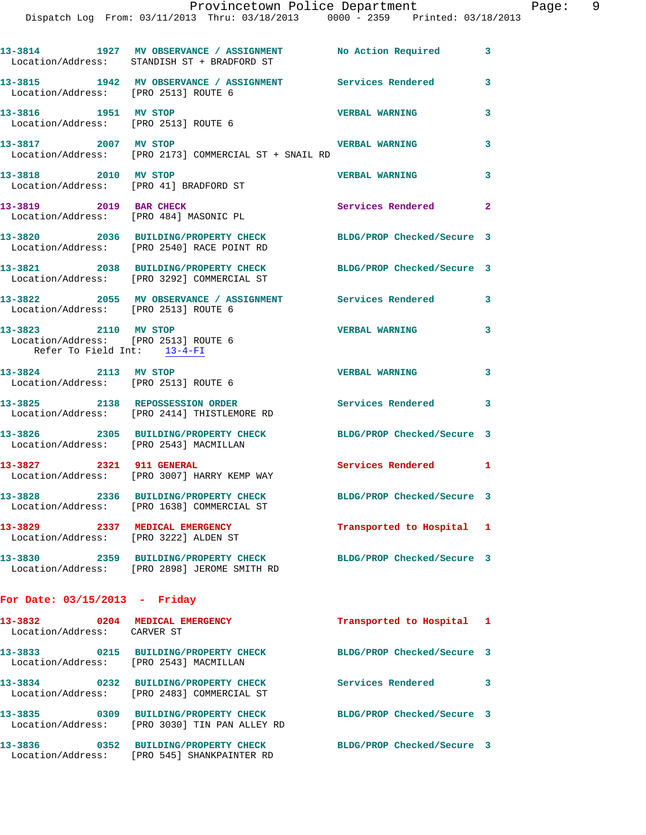|                                                                                             | Provincetown Police Department<br>Dispatch Log From: 03/11/2013 Thru: 03/18/2013 0000 - 2359 Printed: 03/18/2013 |                            |              |
|---------------------------------------------------------------------------------------------|------------------------------------------------------------------------------------------------------------------|----------------------------|--------------|
|                                                                                             | 13-3814 1927 MV OBSERVANCE / ASSIGNMENT No Action Required<br>Location/Address: STANDISH ST + BRADFORD ST        |                            | 3            |
|                                                                                             | 13-3815 1942 MV OBSERVANCE / ASSIGNMENT Services Rendered<br>  Location/Address: [PRO 2513] ROUTE 6              |                            | 3            |
| 13-3816 1951 MV STOP                                                                        | Location/Address: [PRO 2513] ROUTE 6                                                                             | <b>VERBAL WARNING</b>      | 3            |
| 13-3817 2007 MV STOP                                                                        | Location/Address: [PRO 2173] COMMERCIAL ST + SNAIL RD                                                            | <b>VERBAL WARNING</b>      | 3            |
| 13-3818 2010 MV STOP                                                                        | Location/Address: [PRO 41] BRADFORD ST                                                                           | <b>VERBAL WARNING</b>      | 3            |
|                                                                                             | 13-3819 2019 BAR CHECK<br>Location/Address: [PRO 484] MASONIC PL                                                 | Services Rendered          | $\mathbf{2}$ |
|                                                                                             | 13-3820 2036 BUILDING/PROPERTY CHECK BLDG/PROP Checked/Secure 3<br>Location/Address: [PRO 2540] RACE POINT RD    |                            |              |
|                                                                                             | 13-3821 2038 BUILDING/PROPERTY CHECK BLDG/PROP Checked/Secure 3<br>Location/Address: [PRO 3292] COMMERCIAL ST    |                            |              |
| Location/Address: [PRO 2513] ROUTE 6                                                        | 13-3822 2055 MV OBSERVANCE / ASSIGNMENT Services Rendered                                                        |                            | 3            |
| 13-3823 2110 MV STOP<br>Location/Address: [PRO 2513] ROUTE 6<br>Refer To Field Int: 13-4-FI |                                                                                                                  | <b>VERBAL WARNING</b>      | 3            |
| 13-3824 2113 MV STOP<br>Location/Address: [PRO 2513] ROUTE 6                                |                                                                                                                  | <b>VERBAL WARNING</b>      | 3            |
|                                                                                             | 13-3825 2138 REPOSSESSION ORDER<br>Location/Address: [PRO 2414] THISTLEMORE RD                                   | Services Rendered          | 3            |
| Location/Address: [PRO 2543] MACMILLAN                                                      | 13-3826 2305 BUILDING/PROPERTY CHECK BLDG/PROP Checked/Secure 3                                                  |                            |              |
| 13-3827 2321 911 GENERAL                                                                    | Location/Address: [PRO 3007] HARRY KEMP WAY                                                                      | Services Rendered          | 1            |
|                                                                                             | 13-3828 2336 BUILDING/PROPERTY CHECK<br>Location/Address: [PRO 1638] COMMERCIAL ST                               | BLDG/PROP Checked/Secure 3 |              |
| 13-3829 2337 MEDICAL EMERGENCY<br>Location/Address: [PRO 3222] ALDEN ST                     |                                                                                                                  | Transported to Hospital    | ı            |
| 13-3830                                                                                     | 2359 BUILDING/PROPERTY CHECK<br>Location/Address: [PRO 2898] JEROME SMITH RD                                     | BLDG/PROP Checked/Secure 3 |              |
| For Date: $03/15/2013$ - Friday                                                             |                                                                                                                  |                            |              |
| 13-3832                                                                                     | 0204 MEDICAL EMERGENCY                                                                                           | Transported to Hospital    | 1            |

| 13-3832<br>0204<br>Location/Address: | MEDICAL EMERGENCY<br>CARVER ST                                | Transported to Hospital 1  |   |
|--------------------------------------|---------------------------------------------------------------|----------------------------|---|
| 13-3833<br>0215<br>Location/Address: | <b>BUILDING/PROPERTY CHECK</b><br>[PRO 2543] MACMILLAN        | BLDG/PROP Checked/Secure 3 |   |
| 13-3834<br>0232<br>Location/Address: | <b>BUILDING/PROPERTY CHECK</b><br>[PRO 2483] COMMERCIAL ST    | Services Rendered          | 3 |
| 13-3835<br>0309<br>Location/Address: | <b>BUILDING/PROPERTY CHECK</b><br>FPRO 30301 TIN PAN ALLEY RD | BLDG/PROP Checked/Secure 3 |   |
| 13-3836<br>0352<br>Location/Address: | <b>BUILDING/PROPERTY CHECK</b><br>[PRO 545] SHANKPAINTER RD   | BLDG/PROP Checked/Secure 3 |   |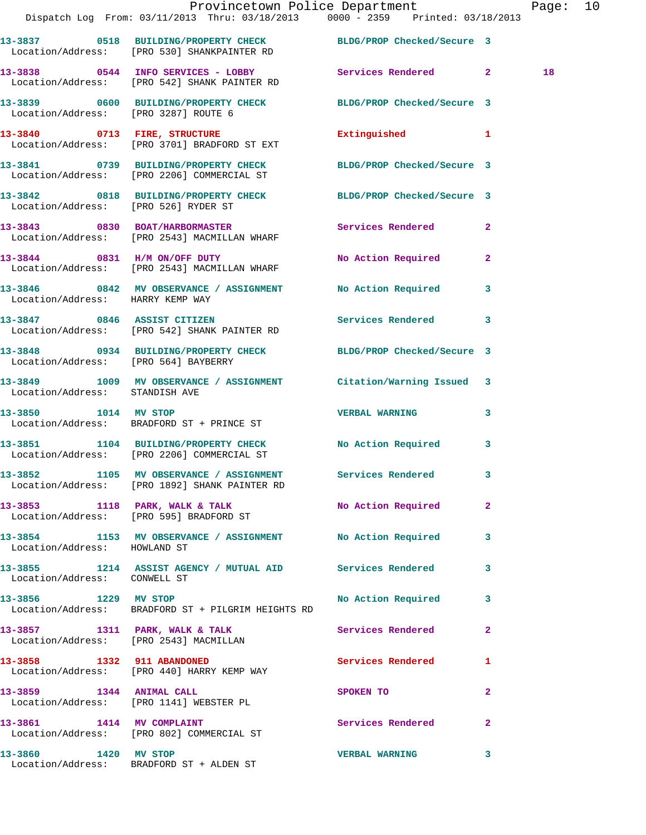|                                      | Provincetown Police Department Page: 10<br>Dispatch Log From: 03/11/2013 Thru: 03/18/2013 0000 - 2359 Printed: 03/18/2013 |                                                                                 |                         |    |  |
|--------------------------------------|---------------------------------------------------------------------------------------------------------------------------|---------------------------------------------------------------------------------|-------------------------|----|--|
|                                      | 13-3837 0518 BUILDING/PROPERTY CHECK BLDG/PROP Checked/Secure 3<br>Location/Address: [PRO 530] SHANKPAINTER RD            |                                                                                 |                         |    |  |
|                                      | 13-3838 0544 INFO SERVICES - LOBBY Services Rendered 2<br>Location/Address: [PRO 542] SHANK PAINTER RD                    |                                                                                 |                         | 18 |  |
| Location/Address: [PRO 3287] ROUTE 6 | 13-3839 0600 BUILDING/PROPERTY CHECK BLDG/PROP Checked/Secure 3                                                           |                                                                                 |                         |    |  |
|                                      | 13-3840 0713 FIRE, STRUCTURE<br>Location/Address: [PRO 3701] BRADFORD ST EXT                                              | Extinguished 1                                                                  |                         |    |  |
|                                      | 13-3841 0739 BUILDING/PROPERTY CHECK BLDG/PROP Checked/Secure 3<br>Location/Address: [PRO 2206] COMMERCIAL ST             |                                                                                 |                         |    |  |
|                                      | 13-3842 0818 BUILDING/PROPERTY CHECK BLDG/PROP Checked/Secure 3<br>Location/Address: [PRO 526] RYDER ST                   |                                                                                 |                         |    |  |
|                                      | 13-3843 0830 BOAT/HARBORMASTER<br>Location/Address: [PRO 2543] MACMILLAN WHARF                                            | Services Rendered                                                               | $\mathbf{2}$            |    |  |
|                                      | 13-3844 0831 H/M ON/OFF DUTY<br>Location/Address: [PRO 2543] MACMILLAN WHARF                                              | No Action Required                                                              | $\mathbf{2}$            |    |  |
| Location/Address: HARRY KEMP WAY     | 13-3846 0842 MV OBSERVANCE / ASSIGNMENT No Action Required 3                                                              |                                                                                 |                         |    |  |
|                                      | 13-3847 0846 ASSIST CITIZEN<br>Location/Address: [PRO 542] SHANK PAINTER RD                                               | Services Rendered 3                                                             |                         |    |  |
| Location/Address: [PRO 564] BAYBERRY | 13-3848 0934 BUILDING/PROPERTY CHECK BLDG/PROP Checked/Secure 3                                                           |                                                                                 |                         |    |  |
| Location/Address: STANDISH AVE       | 13-3849 1009 MV OBSERVANCE / ASSIGNMENT Citation/Warning Issued 3                                                         |                                                                                 |                         |    |  |
| 13-3850 1014 MV STOP                 | Location/Address: BRADFORD ST + PRINCE ST                                                                                 | <b>VERBAL WARNING</b>                                                           | $\overline{\mathbf{3}}$ |    |  |
|                                      | 13-3851 1104 BUILDING/PROPERTY CHECK No Action Required 3<br>Location/Address: [PRO 2206] COMMERCIAL ST                   |                                                                                 |                         |    |  |
|                                      | 13-3852 1105 MV OBSERVANCE / ASSIGNMENT<br>Location/Address: [PRO 1892] SHANK PAINTER RD                                  | Services Rendered 3                                                             |                         |    |  |
|                                      | 13-3853 1118 PARK, WALK & TALK No Action Required 2<br>Location/Address: [PRO 595] BRADFORD ST                            |                                                                                 |                         |    |  |
| Location/Address: HOWLAND ST         | 13-3854 1153 MV OBSERVANCE / ASSIGNMENT No Action Required 3                                                              |                                                                                 |                         |    |  |
| Location/Address: CONWELL ST         | 13-3855 1214 ASSIST AGENCY / MUTUAL AID Services Rendered                                                                 |                                                                                 | $\mathbf{3}$            |    |  |
| 13-3856 1229 MV STOP                 | Location/Address: BRADFORD ST + PILGRIM HEIGHTS RD                                                                        | No Action Required 3                                                            |                         |    |  |
|                                      | 13-3857 1311 PARK, WALK & TALK 1999 Services Rendered<br>Location/Address: [PRO 2543] MACMILLAN                           |                                                                                 | $\mathbf{2}$            |    |  |
|                                      | 13-3858 1332 911 ABANDONED<br>Location/Address: [PRO 440] HARRY KEMP WAY                                                  | Services Rendered 1                                                             |                         |    |  |
|                                      | 13-3859 1344 ANIMAL CALL<br>Location/Address: [PRO 1141] WEBSTER PL                                                       | SPOKEN TO AND TO A STRUCK TO A THING OF THE STRUCK OF THE STRUCK OF THE STRUCK. | $\mathbf{2}$            |    |  |
| 13-3861 1414 MV COMPLAINT            | Location/Address: [PRO 802] COMMERCIAL ST                                                                                 | Services Rendered 2                                                             |                         |    |  |
| 13-3860 1420 MV STOP                 |                                                                                                                           | <b>VERBAL WARNING</b>                                                           | $\mathbf{3}$            |    |  |

Location/Address: BRADFORD ST + ALDEN ST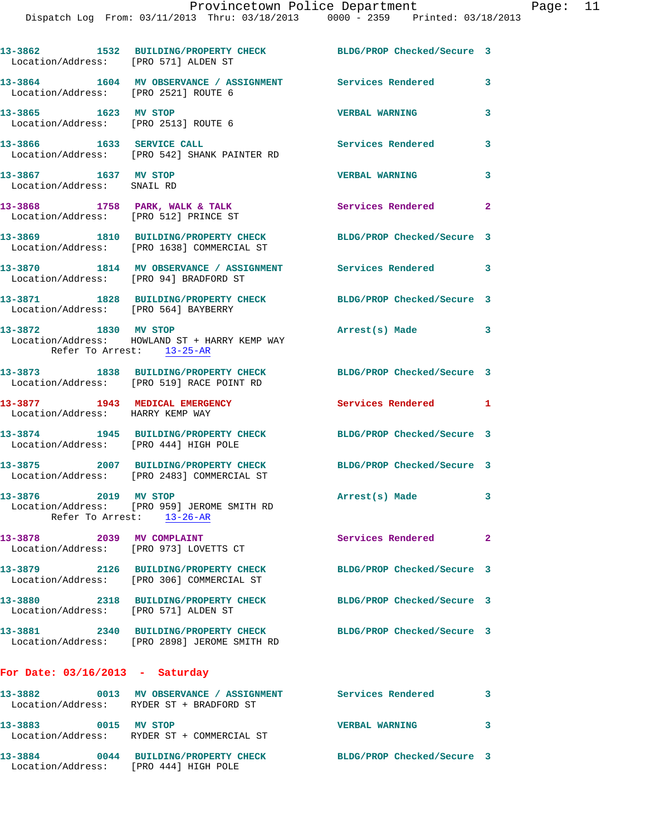| Location/Address: [PRO 571] ALDEN ST                               | 13-3862 1532 BUILDING/PROPERTY CHECK                                                 | BLDG/PROP Checked/Secure 3 |   |
|--------------------------------------------------------------------|--------------------------------------------------------------------------------------|----------------------------|---|
| Location/Address: [PRO 2521] ROUTE 6                               | 13-3864 1604 MV OBSERVANCE / ASSIGNMENT Services Rendered                            |                            | 3 |
| 13-3865 1623 MV STOP<br>Location/Address: [PRO 2513] ROUTE 6       |                                                                                      | <b>VERBAL WARNING</b>      | 3 |
| 13-3866 1633 SERVICE CALL                                          | Location/Address: [PRO 542] SHANK PAINTER RD                                         | <b>Services Rendered</b>   | 3 |
| 13-3867 1637 MV STOP<br>Location/Address: SNAIL RD                 |                                                                                      | <b>VERBAL WARNING</b>      | 3 |
|                                                                    | 13-3868 1758 PARK, WALK & TALK<br>Location/Address: [PRO 512] PRINCE ST              | Services Rendered 2        |   |
|                                                                    | 13-3869 1810 BUILDING/PROPERTY CHECK<br>Location/Address: [PRO 1638] COMMERCIAL ST   | BLDG/PROP Checked/Secure 3 |   |
| Location/Address: [PRO 94] BRADFORD ST                             | 13-3870 1814 MV OBSERVANCE / ASSIGNMENT Services Rendered 3                          |                            |   |
| Location/Address: [PRO 564] BAYBERRY                               | 13-3871 1828 BUILDING/PROPERTY CHECK                                                 | BLDG/PROP Checked/Secure 3 |   |
| 13-3872 1830 MV STOP<br>Refer To Arrest: 13-25-AR                  | Location/Address: HOWLAND ST + HARRY KEMP WAY                                        | Arrest(s) Made             | 3 |
|                                                                    | 13-3873 1838 BUILDING/PROPERTY CHECK<br>Location/Address: [PRO 519] RACE POINT RD    | BLDG/PROP Checked/Secure 3 |   |
| 13-3877 1943 MEDICAL EMERGENCY<br>Location/Address: HARRY KEMP WAY |                                                                                      | Services Rendered 1        |   |
| Location/Address: [PRO 444] HIGH POLE                              | 13-3874 1945 BUILDING/PROPERTY CHECK                                                 | BLDG/PROP Checked/Secure 3 |   |
|                                                                    | 13-3875 2007 BUILDING/PROPERTY CHECK<br>Location/Address: [PRO 2483] COMMERCIAL ST   | BLDG/PROP Checked/Secure 3 |   |
| 2019 MV STOP<br>13-3876                                            | Location/Address: [PRO 959] JEROME SMITH RD<br>Refer To Arrest: 13-26-AR             | Arrest(s) Made 3           |   |
| 13-3878 2039 MV COMPLAINT                                          | Location/Address: [PRO 973] LOVETTS CT                                               | Services Rendered 2        |   |
| 13-3879                                                            | 2126 BUILDING/PROPERTY CHECK<br>Location/Address: [PRO 306] COMMERCIAL ST            | BLDG/PROP Checked/Secure 3 |   |
| Location/Address: [PRO 571] ALDEN ST                               | 13-3880 2318 BUILDING/PROPERTY CHECK                                                 | BLDG/PROP Checked/Secure 3 |   |
|                                                                    | 13-3881 2340 BUILDING/PROPERTY CHECK<br>Location/Address: [PRO 2898] JEROME SMITH RD | BLDG/PROP Checked/Secure 3 |   |
| For Date: $03/16/2013$ - Saturday                                  |                                                                                      |                            |   |
|                                                                    | 13-3882 6013 MV OBSERVANCE / ASSIGNMENT Services Rendered                            | $\sim$ 3                   |   |
|                                                                    | Location/Address: RYDER ST + BRADFORD ST                                             |                            |   |
| 13-3883 0015 MV STOP                                               | Location/Address: RYDER ST + COMMERCIAL ST                                           | <b>VERBAL WARNING</b>      | 3 |

Location/Address: [PRO 444] HIGH POLE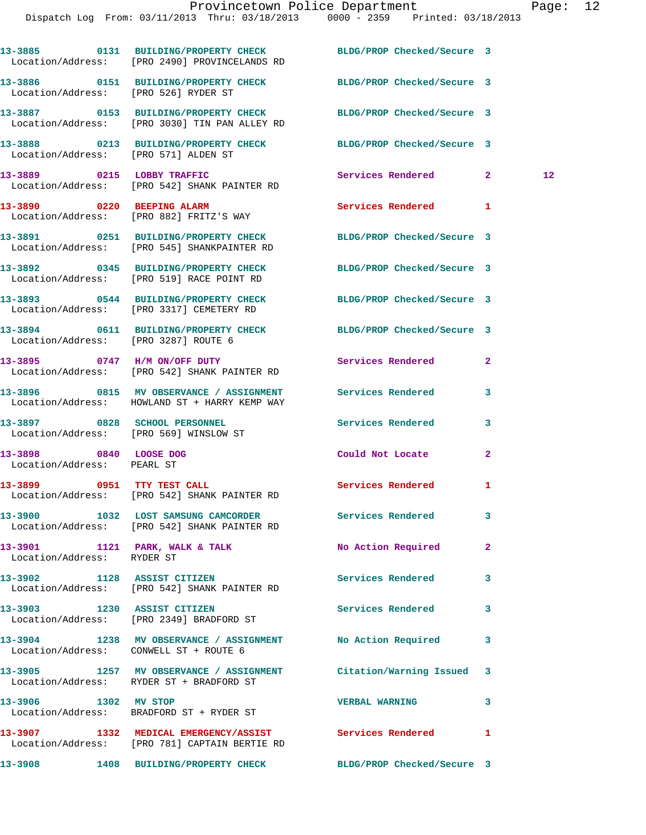|                                                      | 13-3885 0131 BUILDING/PROPERTY CHECK<br>Location/Address: [PRO 2490] PROVINCELANDS RD                                   | BLDG/PROP Checked/Secure 3  |              |         |
|------------------------------------------------------|-------------------------------------------------------------------------------------------------------------------------|-----------------------------|--------------|---------|
|                                                      | 13-3886 0151 BUILDING/PROPERTY CHECK BLDG/PROP Checked/Secure 3<br>Location/Address: [PRO 526] RYDER ST                 |                             |              |         |
|                                                      | 13-3887 0153 BUILDING/PROPERTY CHECK<br>Location/Address: [PRO 3030] TIN PAN ALLEY RD                                   | BLDG/PROP Checked/Secure 3  |              |         |
|                                                      | 13-3888 0213 BUILDING/PROPERTY CHECK BLDG/PROP Checked/Secure 3<br>Location/Address: [PRO 571] ALDEN ST                 |                             |              |         |
|                                                      | 13-3889 0215 LOBBY TRAFFIC<br>Location/Address: [PRO 542] SHANK PAINTER RD                                              | <b>Services Rendered 22</b> |              | $12 \,$ |
|                                                      | 13-3890 0220 BEEPING ALARM<br>Location/Address: [PRO 882] FRITZ'S WAY                                                   | Services Rendered 1         |              |         |
|                                                      | 13-3891 0251 BUILDING/PROPERTY CHECK BLDG/PROP Checked/Secure 3<br>Location/Address: [PRO 545] SHANKPAINTER RD          |                             |              |         |
|                                                      | 13-3892 0345 BUILDING/PROPERTY CHECK BLDG/PROP Checked/Secure 3<br>Location/Address: [PRO 519] RACE POINT RD            |                             |              |         |
|                                                      | 13-3893 0544 BUILDING/PROPERTY CHECK BLDG/PROP Checked/Secure 3<br>Location/Address: [PRO 3317] CEMETERY RD             |                             |              |         |
|                                                      | 13-3894 0611 BUILDING/PROPERTY CHECK BLDG/PROP Checked/Secure 3<br>Location/Address: [PRO 3287] ROUTE 6                 |                             |              |         |
|                                                      | 13-3895 0747 H/M ON/OFF DUTY<br>Location/Address: [PRO 542] SHANK PAINTER RD                                            | Services Rendered           | $\mathbf{2}$ |         |
|                                                      | 13-3896       0815   MV OBSERVANCE / ASSIGNMENT      Services Rendered<br>Location/Address: HOWLAND ST + HARRY KEMP WAY |                             | 3            |         |
|                                                      | 13-3897 0828 SCHOOL PERSONNEL<br>Location/Address: [PRO 569] WINSLOW ST                                                 | Services Rendered           | 3            |         |
| 13-3898 0840 LOOSE DOG<br>Location/Address: PEARL ST |                                                                                                                         | Could Not Locate            | $\mathbf{2}$ |         |
|                                                      | 13-3899 0951 TTY TEST CALL<br>Location/Address: [PRO 542] SHANK PAINTER RD                                              | <b>Services Rendered</b>    | $\mathbf{1}$ |         |
|                                                      | 13-3900 1032 LOST SAMSUNG CAMCORDER<br>Location/Address: [PRO 542] SHANK PAINTER RD                                     | Services Rendered 3         |              |         |
| Location/Address: RYDER ST                           | 13-3901 1121 PARK, WALK & TALK                                                                                          | No Action Required          | $\mathbf{2}$ |         |
|                                                      | 13-3902 1128 ASSIST CITIZEN<br>Location/Address: [PRO 542] SHANK PAINTER RD                                             | Services Rendered           | 3            |         |
|                                                      | 13-3903 1230 ASSIST CITIZEN<br>Location/Address: [PRO 2349] BRADFORD ST                                                 | <b>Services Rendered</b>    | 3            |         |
|                                                      | 13-3904 1238 MV OBSERVANCE / ASSIGNMENT No Action Required<br>Location/Address: CONWELL ST + ROUTE 6                    |                             | 3            |         |
|                                                      | 13-3905 1257 MV OBSERVANCE / ASSIGNMENT Citation/Warning Issued<br>Location/Address: RYDER ST + BRADFORD ST             |                             | 3            |         |
| 13-3906 1302 MV STOP                                 | Location/Address: BRADFORD ST + RYDER ST                                                                                | <b>VERBAL WARNING</b>       | 3            |         |
|                                                      | 13-3907 1332 MEDICAL EMERGENCY/ASSIST Services Rendered<br>Location/Address: [PRO 781] CAPTAIN BERTIE RD                |                             | 1            |         |
|                                                      | 13-3908 1408 BUILDING/PROPERTY CHECK BLDG/PROP Checked/Secure 3                                                         |                             |              |         |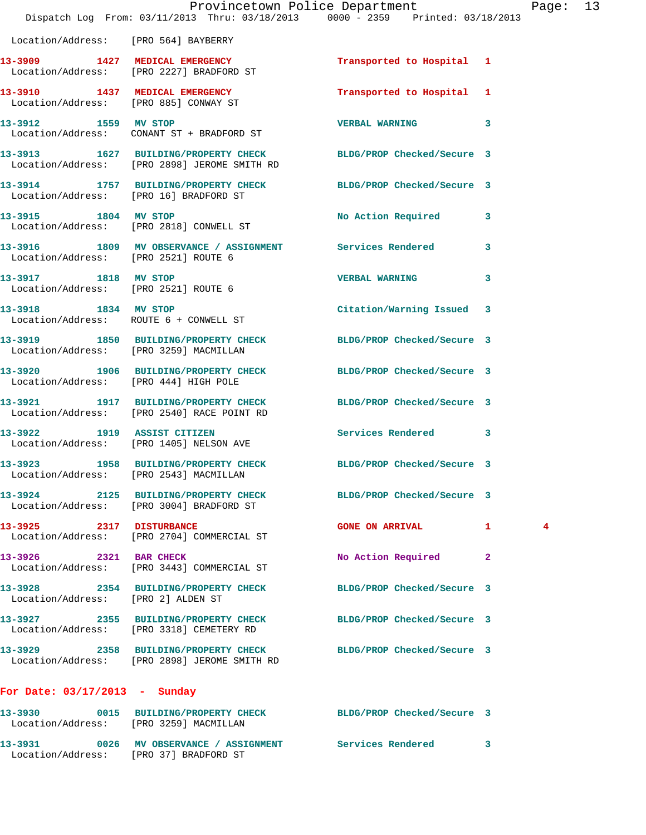|                                                   | Dispatch Log From: 03/11/2013 Thru: 03/18/2013 0000 - 2359 Printed: 03/18/2013                                  | Provincetown Police Department |                | Pag           |
|---------------------------------------------------|-----------------------------------------------------------------------------------------------------------------|--------------------------------|----------------|---------------|
| Location/Address: [PRO 564] BAYBERRY              |                                                                                                                 |                                |                |               |
|                                                   | 13-3909 1427 MEDICAL EMERGENCY<br>Location/Address: [PRO 2227] BRADFORD ST                                      | Transported to Hospital 1      |                |               |
| 13-3910 1437 MEDICAL EMERGENCY                    | Location/Address: [PRO 885] CONWAY ST                                                                           | Transported to Hospital 1      |                |               |
|                                                   | 13-3912 1559 MV STOP<br>Location/Address: CONANT ST + BRADFORD ST                                               | <b>VERBAL WARNING</b>          | 3              |               |
|                                                   | 13-3913 1627 BUILDING/PROPERTY CHECK BLDG/PROP Checked/Secure 3<br>Location/Address: [PRO 2898] JEROME SMITH RD |                                |                |               |
| Location/Address: [PRO 16] BRADFORD ST            | 13-3914 1757 BUILDING/PROPERTY CHECK BLDG/PROP Checked/Secure 3                                                 |                                |                |               |
| 13-3915 1804 MV STOP                              | Location/Address: [PRO 2818] CONWELL ST                                                                         | No Action Required             | 3              |               |
| Location/Address: [PRO 2521] ROUTE 6              | 13-3916 1809 MV OBSERVANCE / ASSIGNMENT Services Rendered                                                       |                                | 3              |               |
| 13-3917 1818 MV STOP                              | Location/Address: [PRO 2521] ROUTE 6                                                                            | <b>VERBAL WARNING</b>          | 3              |               |
| 13-3918 1834 MV STOP                              | Location/Address: ROUTE 6 + CONWELL ST                                                                          | Citation/Warning Issued 3      |                |               |
| Location/Address: [PRO 3259] MACMILLAN            | 13-3919 1850 BUILDING/PROPERTY CHECK BLDG/PROP Checked/Secure 3                                                 |                                |                |               |
| Location/Address: [PRO 444] HIGH POLE             | 13-3920 1906 BUILDING/PROPERTY CHECK BLDG/PROP Checked/Secure 3                                                 |                                |                |               |
|                                                   | 13-3921 1917 BUILDING/PROPERTY CHECK BLDG/PROP Checked/Secure 3<br>Location/Address: [PRO 2540] RACE POINT RD   |                                |                |               |
|                                                   | 13-3922 1919 ASSIST CITIZEN<br>Location/Address: [PRO 1405] NELSON AVE                                          | Services Rendered 3            |                |               |
| Location/Address: [PRO 2543] MACMILLAN            | 13-3923 1958 BUILDING/PROPERTY CHECK BLDG/PROP Checked/Secure 3                                                 |                                |                |               |
|                                                   | 13-3924 2125 BUILDING/PROPERTY CHECK<br>Location/Address: [PRO 3004] BRADFORD ST                                | BLDG/PROP Checked/Secure 3     |                |               |
| 13-3925 2317 DISTURBANCE                          | Location/Address: [PRO 2704] COMMERCIAL ST                                                                      | <b>GONE ON ARRIVAL</b>         | 1.             | $\frac{4}{3}$ |
| 13-3926 2321 BAR CHECK                            | Location/Address: [PRO 3443] COMMERCIAL ST                                                                      | No Action Required             | $\overline{2}$ |               |
| Location/Address: [PRO 2] ALDEN ST                | 13-3928 2354 BUILDING/PROPERTY CHECK BLDG/PROP Checked/Secure 3                                                 |                                |                |               |
|                                                   | 13-3927 2355 BUILDING/PROPERTY CHECK<br>Location/Address: [PRO 3318] CEMETERY RD                                | BLDG/PROP Checked/Secure 3     |                |               |
|                                                   | 13-3929 2358 BUILDING/PROPERTY CHECK BLDG/PROP Checked/Secure 3<br>Location/Address: [PRO 2898] JEROME SMITH RD |                                |                |               |
| For Date: $03/17/2013$ - Sunday                   |                                                                                                                 |                                |                |               |
| 13-3930<br>Location/Address: [PRO 3259] MACMILLAN | 0015 BUILDING/PROPERTY CHECK BLDG/PROP Checked/Secure 3                                                         |                                |                |               |
|                                                   |                                                                                                                 |                                |                |               |

**13-3931 0026 MV OBSERVANCE / ASSIGNMENT Services Rendered 3**  Location/Address: [PRO 37] BRADFORD ST

age: 13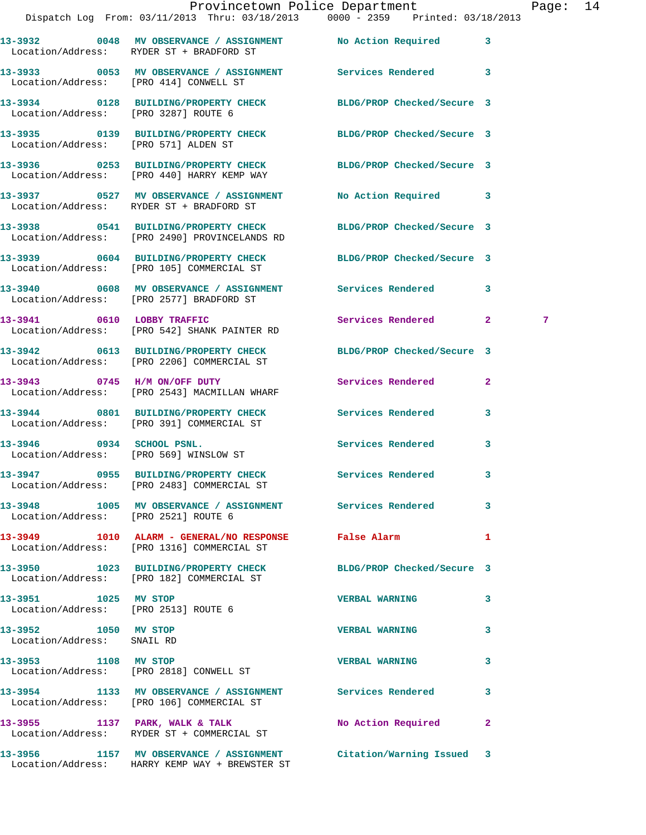|                                                              |                                                                                                        | Provincetown Police Department<br>Dispatch Log From: 03/11/2013 Thru: 03/18/2013 0000 - 2359 Printed: 03/18/2013 | Page: 14 |  |
|--------------------------------------------------------------|--------------------------------------------------------------------------------------------------------|------------------------------------------------------------------------------------------------------------------|----------|--|
|                                                              | Location/Address: RYDER ST + BRADFORD ST                                                               | 13-3932 0048 MV OBSERVANCE / ASSIGNMENT No Action Required 3                                                     |          |  |
|                                                              | Location/Address: [PRO 414] CONWELL ST                                                                 | 13-3933 60053 MV OBSERVANCE / ASSIGNMENT Services Rendered 3                                                     |          |  |
|                                                              |                                                                                                        | 13-3934 0128 BUILDING/PROPERTY CHECK BLDG/PROP Checked/Secure 3<br>Location/Address: [PRO 3287] ROUTE 6          |          |  |
|                                                              |                                                                                                        | 13-3935 0139 BUILDING/PROPERTY CHECK BLDG/PROP Checked/Secure 3<br>Location/Address: [PRO 571] ALDEN ST          |          |  |
|                                                              |                                                                                                        | 13-3936 0253 BUILDING/PROPERTY CHECK BLDG/PROP Checked/Secure 3<br>Location/Address: [PRO 440] HARRY KEMP WAY    |          |  |
|                                                              | Location/Address: RYDER ST + BRADFORD ST                                                               | 13-3937 0527 MV OBSERVANCE / ASSIGNMENT No Action Required 3                                                     |          |  |
|                                                              | Location/Address: [PRO 2490] PROVINCELANDS RD                                                          | 13-3938 0541 BUILDING/PROPERTY CHECK BLDG/PROP Checked/Secure 3                                                  |          |  |
|                                                              | Location/Address: [PRO 105] COMMERCIAL ST                                                              | 13-3939 0604 BUILDING/PROPERTY CHECK BLDG/PROP Checked/Secure 3                                                  |          |  |
|                                                              | Location/Address: [PRO 2577] BRADFORD ST                                                               | 13-3940 0608 MV OBSERVANCE / ASSIGNMENT Services Rendered 3                                                      |          |  |
|                                                              | 13-3941 0610 LOBBY TRAFFIC<br>Location/Address: [PRO 542] SHANK PAINTER RD                             | Services Rendered 2                                                                                              | 7        |  |
|                                                              | Location/Address: [PRO 2206] COMMERCIAL ST                                                             | 13-3942 0613 BUILDING/PROPERTY CHECK BLDG/PROP Checked/Secure 3                                                  |          |  |
|                                                              | 13-3943 0745 H/M ON/OFF DUTY<br>Location/Address: [PRO 2543] MACMILLAN WHARF                           | Services Rendered<br>$\mathbf{2}$                                                                                |          |  |
|                                                              | Location/Address: [PRO 391] COMMERCIAL ST                                                              | 13-3944 0801 BUILDING/PROPERTY CHECK Services Rendered 3                                                         |          |  |
|                                                              | 13-3946 0934 SCHOOL PSNL.<br>Location/Address: [PRO 569] WINSLOW ST                                    | Services Rendered 3                                                                                              |          |  |
|                                                              | Location/Address: [PRO 2483] COMMERCIAL ST                                                             | 13-3947 0955 BUILDING/PROPERTY CHECK Services Rendered 3                                                         |          |  |
| Location/Address: [PRO 2521] ROUTE 6                         |                                                                                                        | 13-3948 1005 MV OBSERVANCE / ASSIGNMENT Services Rendered 3                                                      |          |  |
|                                                              | 13-3949 1010 ALARM - GENERAL/NO RESPONSE False Alarm<br>Location/Address: [PRO 1316] COMMERCIAL ST     | $\mathbf{1}$                                                                                                     |          |  |
|                                                              | Location/Address: [PRO 182] COMMERCIAL ST                                                              | 13-3950 1023 BUILDING/PROPERTY CHECK BLDG/PROP Checked/Secure 3                                                  |          |  |
| 13-3951 1025 MV STOP<br>Location/Address: [PRO 2513] ROUTE 6 |                                                                                                        | <b>VERBAL WARNING</b><br>3                                                                                       |          |  |
| 13-3952 1050 MV STOP<br>Location/Address: SNAIL RD           |                                                                                                        | <b>VERBAL WARNING</b><br>3                                                                                       |          |  |
| 13-3953 1108 MV STOP                                         | Location/Address: [PRO 2818] CONWELL ST                                                                | <b>VERBAL WARNING</b><br>3                                                                                       |          |  |
|                                                              | 13-3954 1133 MV OBSERVANCE / ASSIGNMENT Services Rendered<br>Location/Address: [PRO 106] COMMERCIAL ST | 3                                                                                                                |          |  |
|                                                              | 13-3955 1137 PARK, WALK & TALK 1998 No Action Required<br>Location/Address: RYDER ST + COMMERCIAL ST   | $\mathbf{2}$                                                                                                     |          |  |
|                                                              | Location/Address: HARRY KEMP WAY + BREWSTER ST                                                         | 13-3956 1157 MV OBSERVANCE / ASSIGNMENT Citation/Warning Issued 3                                                |          |  |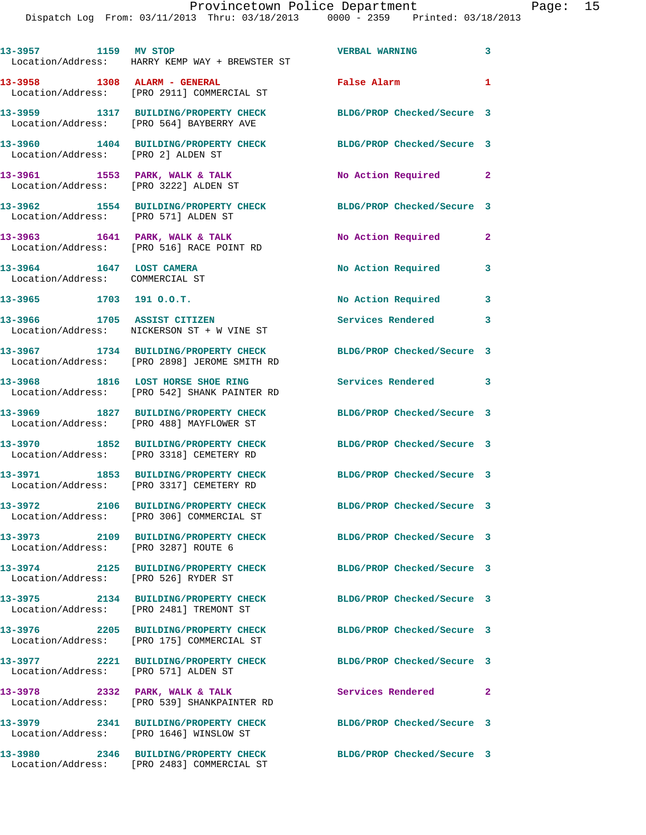|                                                             | 13-3957 1159 MV STOP<br>Location/Address: HARRY KEMP WAY + BREWSTER ST               | <b>VERBAL WARNING</b>      | $\overline{\mathbf{3}}$ |
|-------------------------------------------------------------|--------------------------------------------------------------------------------------|----------------------------|-------------------------|
| 13-3958 1308 ALARM - GENERAL                                | Location/Address: [PRO 2911] COMMERCIAL ST                                           | False Alarm                | $\mathbf{1}$            |
|                                                             | 13-3959 1317 BUILDING/PROPERTY CHECK<br>Location/Address: [PRO 564] BAYBERRY AVE     | BLDG/PROP Checked/Secure 3 |                         |
| Location/Address: [PRO 2] ALDEN ST                          | 13-3960 1404 BUILDING/PROPERTY CHECK                                                 | BLDG/PROP Checked/Secure 3 |                         |
| Location/Address: [PRO 3222] ALDEN ST                       | 13-3961 1553 PARK, WALK & TALK                                                       | No Action Required 2       |                         |
| Location/Address: [PRO 571] ALDEN ST                        | 13-3962 1554 BUILDING/PROPERTY CHECK                                                 | BLDG/PROP Checked/Secure 3 |                         |
|                                                             | 13-3963 1641 PARK, WALK & TALK<br>Location/Address: [PRO 516] RACE POINT RD          | No Action Required         | $\mathbf{2}$            |
| 13-3964 1647 LOST CAMERA<br>Location/Address: COMMERCIAL ST |                                                                                      | No Action Required 3       |                         |
| $13-3965$ 1703 191 0.0.T.                                   |                                                                                      | No Action Required 3       |                         |
| 13-3966 1705 ASSIST CITIZEN                                 | Location/Address: NICKERSON ST + W VINE ST                                           | Services Rendered 3        |                         |
|                                                             | 13-3967 1734 BUILDING/PROPERTY CHECK<br>Location/Address: [PRO 2898] JEROME SMITH RD | BLDG/PROP Checked/Secure 3 |                         |
|                                                             | 13-3968 1816 LOST HORSE SHOE RING<br>Location/Address: [PRO 542] SHANK PAINTER RD    | Services Rendered 3        |                         |
|                                                             | 13-3969 1827 BUILDING/PROPERTY CHECK<br>Location/Address: [PRO 488] MAYFLOWER ST     | BLDG/PROP Checked/Secure 3 |                         |
|                                                             | 13-3970 1852 BUILDING/PROPERTY CHECK<br>Location/Address: [PRO 3318] CEMETERY RD     | BLDG/PROP Checked/Secure 3 |                         |
|                                                             | 13-3971 1853 BUILDING/PROPERTY CHECK<br>Location/Address: [PRO 3317] CEMETERY RD     | BLDG/PROP Checked/Secure 3 |                         |
|                                                             | 13-3972 2106 BUILDING/PROPERTY CHECK<br>Location/Address: [PRO 306] COMMERCIAL ST    | BLDG/PROP Checked/Secure 3 |                         |
| Location/Address: [PRO 3287] ROUTE 6                        | 13-3973 2109 BUILDING/PROPERTY CHECK BLDG/PROP Checked/Secure 3                      |                            |                         |
| Location/Address: [PRO 526] RYDER ST                        | 13-3974 2125 BUILDING/PROPERTY CHECK BLDG/PROP Checked/Secure 3                      |                            |                         |
|                                                             | 13-3975 2134 BUILDING/PROPERTY CHECK<br>Location/Address: [PRO 2481] TREMONT ST      | BLDG/PROP Checked/Secure 3 |                         |
|                                                             | 13-3976 2205 BUILDING/PROPERTY CHECK<br>Location/Address: [PRO 175] COMMERCIAL ST    | BLDG/PROP Checked/Secure 3 |                         |
|                                                             |                                                                                      | BLDG/PROP Checked/Secure 3 |                         |
|                                                             | 13-3978 2332 PARK, WALK & TALK<br>Location/Address: [PRO 539] SHANKPAINTER RD        | Services Rendered 2        |                         |
|                                                             | 13-3979 2341 BUILDING/PROPERTY CHECK<br>Location/Address: [PRO 1646] WINSLOW ST      | BLDG/PROP Checked/Secure 3 |                         |
|                                                             | 13-3980 2346 BUILDING/PROPERTY CHECK<br>Location/Address: [PRO 2483] COMMERCIAL ST   | BLDG/PROP Checked/Secure 3 |                         |